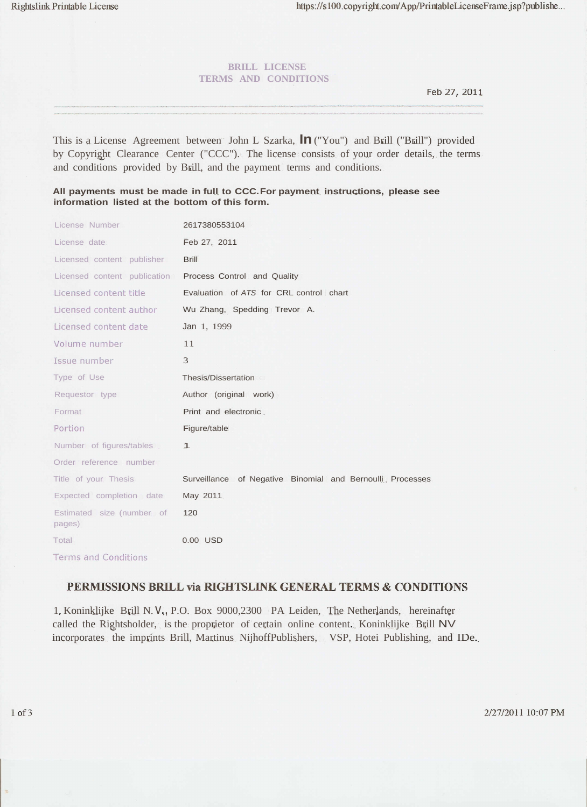## **BRILL LICENSE TERMS AND CONDITIONS**

Feb 27, 2011

This is a License Agreement between John L Szarka, **In**("You") and Brill ("Brill") provided by Copyright Clearance Center ("CCC"). The license consists of your order details, the terms and conditions provided by Brill, and the payment terms and conditions.

## **All payments must be made in full to CCC.For payment instructions, please see information listed at the bottom of this form.**

| License Number                      | 2617380553104                                              |
|-------------------------------------|------------------------------------------------------------|
| License date                        | Feb 27, 2011                                               |
| Licensed content publisher          | <b>Brill</b>                                               |
| Licensed content publication        | Process Control and Quality                                |
| Licensed content title              | Evaluation of ATS for CRL control chart                    |
| Licensed content author             | Wu Zhang, Spedding Trevor A.                               |
| Licensed content date               | Jan 1, 1999                                                |
| Volume number                       | 11                                                         |
| Issue number                        | 3                                                          |
| Type of Use                         | Thesis/Dissertation                                        |
| Requestor type                      | Author (original work)                                     |
| Format                              | Print and electronic                                       |
| Portion                             | Figure/table                                               |
| Number of figures/tables            | $\mathbf{1}$                                               |
| Order reference number              |                                                            |
| Title of your Thesis                | Surveillance of Negative Binomial and Bernoulli. Processes |
| Expected completion date            | May 2011                                                   |
| Estimated size (number of<br>pages) | 120                                                        |
| Total                               | 0.00 USD                                                   |
| Terms and Conditions                |                                                            |

## PERMISSIONS BRILL via RIGHTSLINK GENERAL TERMS & CONDITIONS

1. Koninklijke Brill N. v., P.O. Box 9000,2300 PA Leiden, The Netherlands, hereinafter called the Rightsholder, is the proprietor of certain online content. Koninklijke Brill NV incorporates the imprints Brill, Martinus NijhoffPublishers, VSP, Hotei Publishing, and IDe.

2/27/2011 10:07 PM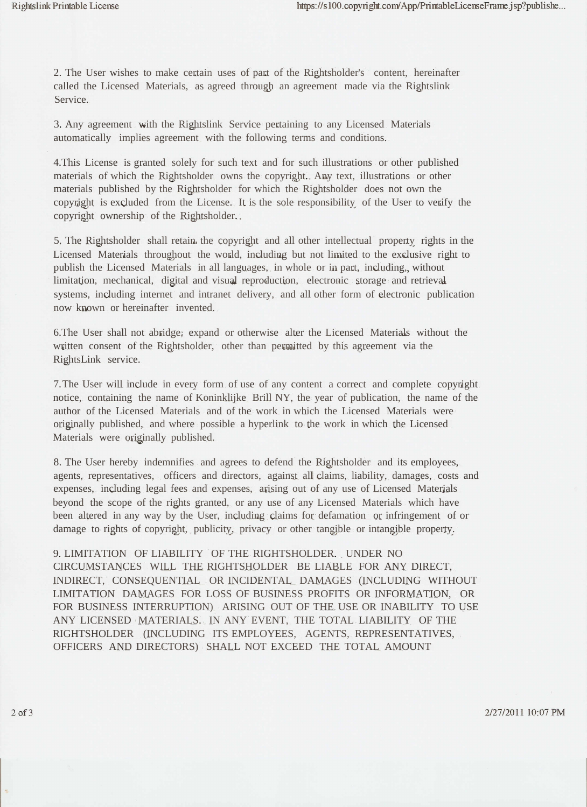2. The User wishes to make certain uses of part of the Rightsholder's content, hereinafter called the Licensed Materials, as agreed through an agreement made via the Rightslink Service.

3. Any agreement with the Rightslink Service pertaining to any Licensed Materials automatically implies agreement with the following terms and conditions.

4.This License is granted solely for such text and for such illustrations or other published materials of which the Rightsholder owns the copyright. Any text, illustrations or other materials published by the Rightsholder for which the Rightsholder does not own the copyright is excluded from the License. It is the sole responsibility of the User to verify the copyright ownership of the Rightsholder.

5. The Rightsholder shall retain the copyright and all other intellectual property rights in the Licensed Materials throughout the world, including but not limited to the exclusive right to publish the Licensed Materials in all languages, in whole or in part, including, without limitation, mechanical, digital and visual reproduction, electronic storage and retrieval systems, including internet and intranet delivery, and all other form of electronic publication now known or hereinafter invented.

6.The User shall not abridge, expand or otherwise alter the Licensed Materials without the written consent of the Rightsholder, other than permitted by this agreement via the RightsLink service.

7.The User will include in every form of use of any content a correct and complete copyright notice, containing the name of Koninklijke Brill NY, the year of publication, the name of the author of the Licensed Materials and of the work in which the Licensed Materials were originally published, and where possible a hyperlink to the work in which the Licensed Materials were originally published.

8. The User hereby indemnifies and agrees to defend the Rightsholder and its employees, agents, representatives, officers and directors, against all claims, liability, damages, costs and expenses, including legal fees and expenses, arising out of any use of Licensed Materials beyond the scope of the rights granted, or any use of any Licensed Materials which have been altered in any way by the User, including claims for defamation or infringement of or damage to rights of copyright, publicity, privacy or other tangible or intangible property.

9. LIMITATION OF LIABILITY OF THE RIGHTSHOLDER. UNDER NO CIRCUMSTANCES WILL THE RIGHTSHOLDER BE LIABLE FOR ANY DIRECT, INDIRECT, CONSEQUENTIAL OR INCIDENTAL DAMAGES (INCLUDING WITHOUT LIMITATION DAMAGES FOR LOSS OF BUSINESS PROFITS OR INFORMATION, OR FOR BUSINESS INTERRUPTION) ARISING OUT OF THE USE OR INABILITY TO USE ANY LICENSED MATERIALS. IN ANY EVENT, THE TOTAL LIABILITY OF THE RIGHTSHOLDER (INCLUDING ITS EMPLOYEES, AGENTS, REPRESENTATIVES, OFFICERS AND DIRECTORS) SHALL NOT EXCEED THE TOTAL AMOUNT

2/27/2011 10:07 PM